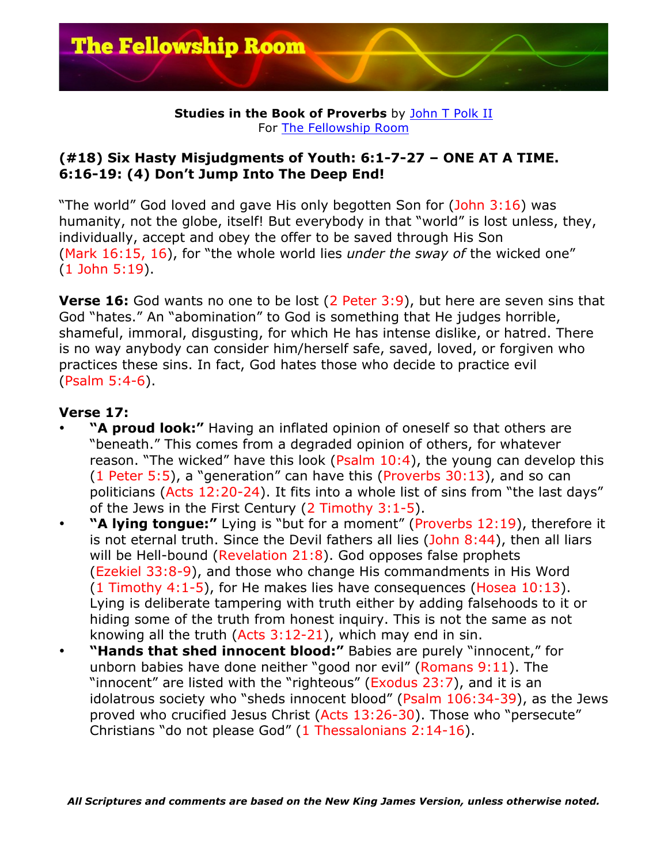

### **Studies in the Book of Proverbs** by John T Polk II For The Fellowship Room

## **(#18) Six Hasty Misjudgments of Youth: 6:1-7-27 – ONE AT A TIME. 6:16-19: (4) Don't Jump Into The Deep End!**

"The world" God loved and gave His only begotten Son for (John 3:16) was humanity, not the globe, itself! But everybody in that "world" is lost unless, they, individually, accept and obey the offer to be saved through His Son (Mark 16:15, 16), for "the whole world lies *under the sway of* the wicked one" (1 John 5:19).

**Verse 16:** God wants no one to be lost (2 Peter 3:9), but here are seven sins that God "hates." An "abomination" to God is something that He judges horrible, shameful, immoral, disgusting, for which He has intense dislike, or hatred. There is no way anybody can consider him/herself safe, saved, loved, or forgiven who practices these sins. In fact, God hates those who decide to practice evil (Psalm 5:4-6).

# **Verse 17:**

- **"A proud look:"** Having an inflated opinion of oneself so that others are "beneath." This comes from a degraded opinion of others, for whatever reason. "The wicked" have this look (Psalm 10:4), the young can develop this (1 Peter 5:5), a "generation" can have this (Proverbs 30:13), and so can politicians (Acts 12:20-24). It fits into a whole list of sins from "the last days" of the Jews in the First Century (2 Timothy 3:1-5).
- **"A lying tongue:"** Lying is "but for a moment" (Proverbs 12:19), therefore it is not eternal truth. Since the Devil fathers all lies (John 8:44), then all liars will be Hell-bound (Revelation  $21:8$ ). God opposes false prophets (Ezekiel 33:8-9), and those who change His commandments in His Word (1 Timothy 4:1-5), for He makes lies have consequences (Hosea 10:13). Lying is deliberate tampering with truth either by adding falsehoods to it or hiding some of the truth from honest inquiry. This is not the same as not knowing all the truth (Acts 3:12-21), which may end in sin.
- **"Hands that shed innocent blood:"** Babies are purely "innocent," for unborn babies have done neither "good nor evil" (Romans 9:11). The "innocent" are listed with the "righteous" (Exodus 23:7), and it is an idolatrous society who "sheds innocent blood" (Psalm 106:34-39), as the Jews proved who crucified Jesus Christ (Acts 13:26-30). Those who "persecute" Christians "do not please God" (1 Thessalonians 2:14-16).